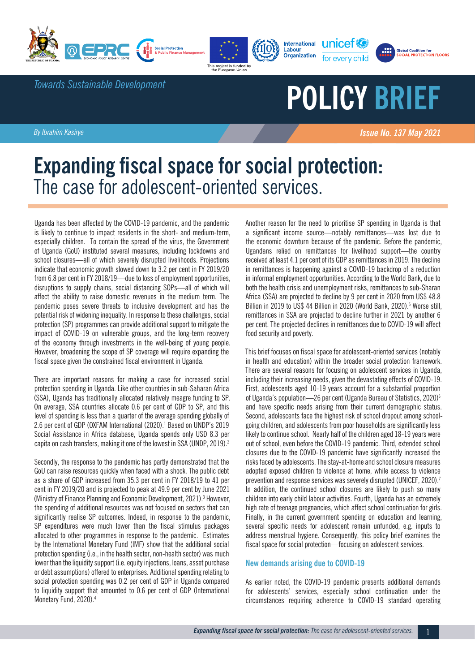



Labour





*Towards Sustainable Development*

# **POLICY BRIEF**

*By Ibrahim Kasirye Issue No. 137 May 2021 Issue No. 137 May 2021* 

# **Expanding fiscal space for social protection:**  The case for adolescent-oriented services.

Uganda has been affected by the COVID-19 pandemic, and the pandemic is likely to continue to impact residents in the short- and medium-term, especially children. To contain the spread of the virus, the Government of Uganda (GoU) instituted several measures, including lockdowns and school closures—all of which severely disrupted livelihoods. Projections indicate that economic growth slowed down to 3.2 per cent in FY 2019/20 from 6.8 per cent in FY 2018/19—due to loss of employment opportunities, disruptions to supply chains, social distancing SOPs—all of which will affect the ability to raise domestic revenues in the medium term. The pandemic poses severe threats to inclusive development and has the potential risk of widening inequality. In response to these challenges, social protection (SP) programmes can provide additional support to mitigate the impact of COVID-19 on vulnerable groups, and the long-term recovery of the economy through investments in the well-being of young people. However, broadening the scope of SP coverage will require expanding the fiscal space given the constrained fiscal environment in Uganda.

There are important reasons for making a case for increased social protection spending in Uganda. Like other countries in sub-Saharan Africa (SSA), Uganda has traditionally allocated relatively meagre funding to SP. On average, SSA countries allocate 0.6 per cent of GDP to SP, and this level of spending is less than a quarter of the average spending globally of 2.6 per cent of GDP (OXFAM International (2020).<sup>1</sup> Based on UNDP's 2019 Social Assistance in Africa database, Uganda spends only USD 8.3 per capita on cash transfers, making it one of the lowest in SSA (UNDP, 2019).<sup>2</sup>

Secondly, the response to the pandemic has partly demonstrated that the GoU can raise resources quickly when faced with a shock. The public debt as a share of GDP increased from 35.3 per cent in FY 2018/19 to 41 per cent in FY 2019/20 and is projected to peak at 49.9 per cent by June 2021 (Ministry of Finance Planning and Economic Development, 2021).<sup>3</sup> However, the spending of additional resources was not focused on sectors that can significantly realise SP outcomes. Indeed, in response to the pandemic, SP expenditures were much lower than the fiscal stimulus packages allocated to other programmes in response to the pandemic. Estimates by the International Monetary Fund (IMF) show that the additional social protection spending (i.e., in the health sector, non-health sector) was much lower than the liquidity support (i.e. equity injections, loans, asset purchase or debt assumptions) offered to enterprises. Additional spending relating to social protection spending was 0.2 per cent of GDP in Uganda compared to liquidity support that amounted to 0.6 per cent of GDP (International Monetary Fund, 2020).<sup>4</sup>

Another reason for the need to prioritise SP spending in Uganda is that a significant income source—notably remittances—was lost due to the economic downturn because of the pandemic. Before the pandemic, Ugandans relied on remittances for livelihood support—the country received at least 4.1 per cent of its GDP as remittances in 2019. The decline in remittances is happening against a COVID-19 backdrop of a reduction in informal employment opportunities. According to the World Bank, due to both the health crisis and unemployment risks, remittances to sub-Sharan Africa (SSA) are projected to decline by 9 per cent in 2020 from US\$ 48.8 Billion in 2019 to US\$ 44 Billion in 2020 (World Bank, 2020).<sup>5</sup> Worse still, remittances in SSA are projected to decline further in 2021 by another 6 per cent. The projected declines in remittances due to COVID-19 will affect food security and poverty.

This brief focuses on fiscal space for adolescent-oriented services (notably in health and education) within the broader social protection framework. There are several reasons for focusing on adolescent services in Uganda, including their increasing needs, given the devastating effects of COVID-19. First, adolescents aged 10-19 years account for a substantial proportion of Uganda's population—26 per cent (Uganda Bureau of Statistics, 2020)<sup>6</sup> and have specific needs arising from their current demographic status. Second, adolescents face the highest risk of school dropout among schoolgoing children, and adolescents from poor households are significantly less likely to continue school. Nearly half of the children aged 18-19 years were out of school, even before the COVID-19 pandemic. Third, extended school closures due to the COVID-19 pandemic have significantly increased the risks faced by adolescents. The stay-at-home and school closure measures adopted exposed children to violence at home, while access to violence prevention and response services was severely disrupted (UNICEF, 2020).<sup>7</sup> In addition, the continued school closures are likely to push so many children into early child labour activities. Fourth, Uganda has an extremely high rate of teenage pregnancies, which affect school continuation for girls. Finally, in the current government spending on education and learning, several specific needs for adolescent remain unfunded, e.g. inputs to address menstrual hygiene. Consequently, this policy brief examines the fiscal space for social protection—focusing on adolescent services.

## **New demands arising due to COVID-19**

As earlier noted, the COVID-19 pandemic presents additional demands for adolescents' services, especially school continuation under the circumstances requiring adherence to COVID-19 standard operating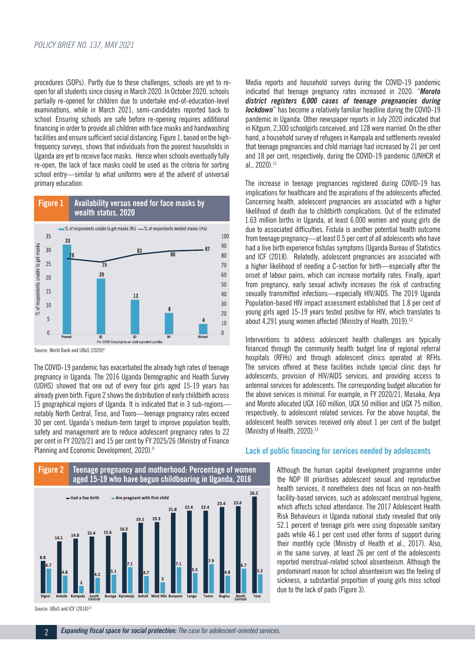procedures (SOPs). Partly due to these challenges, schools are yet to reopen for all students since closing in March 2020. In October 2020, schools partially re-opened for children due to undertake end-of-education-level examinations, while in March 2021, semi-candidates reported back to school. Ensuring schools are safe before re-opening requires additional financing in order to provide all children with face masks and handwashing facilities and ensure sufficient social distancing. Figure 1, based on the highfrequency surveys, shows that individuals from the poorest households in Uganda are yet to receive face masks. Hence when schools eventually fully re-open, the lack of face masks could be used as the criteria for sorting school entry—similar to what uniforms were at the advent of universal primary education.



Source: World Bank and UBoS (2020)<sup>8</sup>

The COVID-19 pandemic has exacerbated the already high rates of teenage pregnancy in Uganda. The 2016 Uganda Demographic and Health Survey (UDHS) showed that one out of every four girls aged 15-19 years has already given birth. Figure 2 shows the distribution of early childbirth across 15 geographical regions of Uganda. It is indicated that in 3 sub-regions notably North Central, Teso, and Tooro—teenage pregnancy rates exceed 30 per cent. Uganda's medium-term target to improve population health, safety and management are to reduce adolescent pregnancy rates to 22 per cent in FY 2020/21 and 15 per cent by FY 2025/26 (Ministry of Finance Planning and Economic Development, 2020).<sup>9</sup>

Media reports and household surveys during the COVID-19 pandemic indicated that teenage pregnancy rates increased in 2020. "*Moroto district registers 6,000 cases of teenage pregnancies during lockdown*" has become a relatively familiar headline during the COVID-19 pandemic in Uganda. Other newspaper reports in July 2020 indicated that in Kitgum, 2,300 schoolgirls conceived, and 128 were married. On the other hand, a household survey of refugees in Kampala and settlements revealed that teenage pregnancies and child marriage had increased by 21 per cent and 18 per cent, respectively, during the COVID-19 pandemic (UNHCR et al., 2020).11

The increase in teenage pregnancies registered during COVID-19 has implications for healthcare and the aspirations of the adolescents affected. Concerning health, adolescent pregnancies are associated with a higher likelihood of death due to childbirth complications. Out of the estimated 1.63 million births in Uganda, at least 6,000 women and young girls die due to associated difficulties. Fistula is another potential health outcome from teenage pregnancy—at least 0.5 per cent of all adolescents who have had a live birth experience fistulas symptoms (Uganda Bureau of Statistics and ICF (2018). Relatedly, adolescent pregnancies are associated with a higher likelihood of needing a C-section for birth—especially after the onset of labour pains, which can increase mortality rates. Finally, apart from pregnancy, early sexual activity increases the risk of contracting sexually transmitted infections—especially HIV/AIDS. The 2019 Uganda Population-based HIV impact assessment established that 1.8 per cent of young girls aged 15-19 years tested positive for HIV, which translates to about 4.291 young women affected (Ministry of Health, 2019).<sup>12</sup>

Interventions to address adolescent health challenges are typically financed through the community health budget line of regional referral hospitals (RFHs) and through adolescent clinics operated at RFHs. The services offered at these facilities include special clinic days for adolescents, provision of HIV/AIDS services, and providing access to antennal services for adolescents. The corresponding budget allocation for the above services is minimal. For example, in FY 2020/21, Masaka, Arya and Moroto allocated UGX 160 million, UGX 50 million and UGX 75 million, respectively, to adolescent related services. For the above hospital, the adolescent health services received only about 1 per cent of the budget (Ministry of Health, 2020).<sup>13</sup>



### **Lack of public financing for services needed by adolescents**

Although the human capital development programme under the NDP III prioritises adolescent sexual and reproductive health services, it nonetheless does not focus on non-health facility-based services, such as adolescent menstrual hygiene, which affects school attendance. The 2017 Adolescent Health Risk Behaviours in Uganda national study revealed that only 52.1 percent of teenage girls were using disposable sanitary pads while 46.1 per cent used other forms of support during their monthly cycle (Ministry of Health et al., 2017). Also, in the same survey, at least 26 per cent of the adolescents reported menstrual-related school absenteeism. Although the predominant reason for school absenteeism was the feeling of sickness, a substantial proportion of young girls miss school due to the lack of pads (Figure 3).

Source: UBoS and ICF (2018)<sup>10</sup>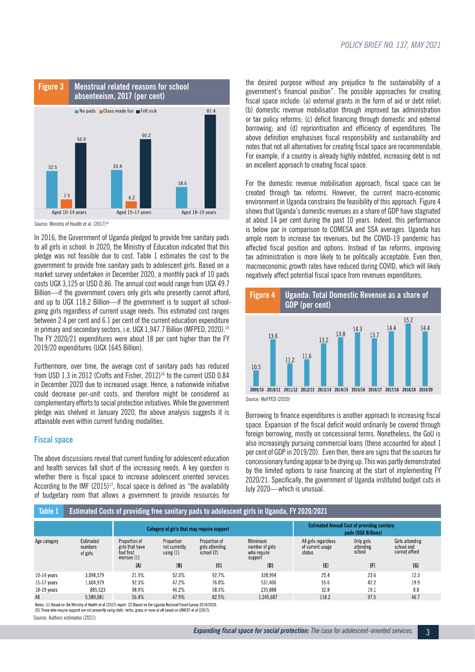

Source: Ministry of Health et al. (2017)<sup>14</sup>

In 2016, the Government of Uganda pledged to provide free sanitary pads to all girls in school. In 2020, the Ministry of Education indicated that this pledge was not feasible due to cost. Table 1 estimates the cost to the government to provide free sanitary pads to adolescent girls. Based on a market survey undertaken in December 2020, a monthly pack of 10 pads costs UGX 3,125 or USD 0.86. The annual cost would range from UGX 49.7 Billion—if the government covers only girls who presently cannot afford, and up to UGX 118.2 Billion—if the government is to support all schoolgoing girls regardless of current usage needs. This estimated cost ranges between 2.4 per cent and 6.1 per cent of the current education expenditure in primary and secondary sectors, i.e. UGX 1,947.7 Billion (MFPED, 2020).<sup>15</sup> The FY 2020/21 expenditures were about 18 per cent higher than the FY 2019/20 expenditures (UGX 1645 Billion).

Furthermore, over time, the average cost of sanitary pads has reduced from USD 1.3 in 2012 (Crofts and Fisher, 2012)<sup>16</sup> to the current USD 0.84 in December 2020 due to increased usage. Hence, a nationwide initiative could decrease per-unit costs, and therefore might be considered as complementary efforts to social protection initiatives. While the government pledge was shelved in January 2020, the above analysis suggests it is attainable even within current funding modalities.

### **Fiscal space**

The above discussions reveal that current funding for adolescent education and health services fall short of the increasing needs. A key question is whether there is fiscal space to increase adolescent oriented services. According to the IMF  $(2015)^{17}$ , fiscal space is defined as "the availability of budgetary room that allows a government to provide resources for

the desired purpose without any prejudice to the sustainability of a government's financial position". The possible approaches for creating fiscal space include: (a) external grants in the form of aid or debt relief; (b) domestic revenue mobilisation through improved tax administration or tax policy reforms; (c) deficit financing through domestic and external borrowing; and (d) reprioritisation and efficiency of expenditures. The above definition emphasises fiscal responsibility and sustainability and notes that not all alternatives for creating fiscal space are recommendable. For example, if a country is already highly indebted, increasing debt is not an excellent approach to creating fiscal space.

For the domestic revenue mobilisation approach, fiscal space can be created through tax reforms. However, the current macro-economic environment in Uganda constrains the feasibility of this approach. Figure 4 shows that Uganda's domestic revenues as a share of GDP have stagnated at about 14 per cent during the past 10 years. Indeed, this performance is below par in comparison to COMESA and SSA averages. Uganda has ample room to increase tax revenues, but the COVID-19 pandemic has affected fiscal position and options. Instead of tax reforms, improving tax administration is more likely to be politically acceptable. Even then, macroeconomic growth rates have reduced during COVID, which will likely negatively affect potential fiscal space from revenues expenditures.



Borrowing to finance expenditures is another approach to increasing fiscal space. Expansion of the fiscal deficit would ordinarily be covered through foreign borrowing, mostly on concessional terms. Nonetheless, the GoU is also increasingly pursuing commercial loans (these accounted for about 1 per cent of GDP in 2019/20). Even then, there are signs that the sources for concessionary funding appear to be drying up. This was partly demonstrated by the limited options to raise financing at the start of implementing FY 2020/21. Specifically, the government of Uganda instituted budget cuts in July 2020—which is unusual.

| <b>Table 1</b>  | Estimated Costs of providing free sanitary pads to adolescent girls in Uganda, FY 2020/2021 |                                                               |                                            |                                                |                                                      |                                                                           |                                   |                                                |
|-----------------|---------------------------------------------------------------------------------------------|---------------------------------------------------------------|--------------------------------------------|------------------------------------------------|------------------------------------------------------|---------------------------------------------------------------------------|-----------------------------------|------------------------------------------------|
|                 |                                                                                             | Category of girls that may require support                    |                                            |                                                |                                                      | <b>Estimated Annual Cost of providing sanitary</b><br>pads (UGX Billions) |                                   |                                                |
| Age category    | Estimated<br>numbers<br>of girls                                                            | Proportion of<br>girls that have<br>had first<br>menses $(1)$ | Proportion<br>not currently<br>using $(1)$ | Proportion of<br>girls attending<br>school (2) | Mimimum<br>number of girls<br>who require<br>support | All girls regardless<br>of current usage<br>status                        | Only girls<br>attending<br>school | Girls attending<br>school and<br>cannot afford |
|                 |                                                                                             | [A]                                                           | [B]                                        | [C]                                            | [D]                                                  | [E]                                                                       | [F]                               | [G]                                            |
| $10-14$ years   | 3.098.579                                                                                   | 219%                                                          | 523%                                       | 92.7%                                          | 328.994                                              | 254                                                                       | 23.6                              | 12.3                                           |
| $15 - 17$ years | 1.604.979                                                                                   | 92.3%                                                         | 47 2%                                      | 76.0%                                          | 531.406                                              | 55.6                                                                      | 42.2                              | 199                                            |
| $18-19$ years   | 885.523                                                                                     | 989%                                                          | 46.2%                                      | 583%                                           | 235.888                                              | 328                                                                       | 191                               | 88                                             |
| <b>AII</b>      | 5,589,081                                                                                   | 56.4%                                                         | 47.9%                                      | 82.5%                                          | 1,245,687                                            | 118.2                                                                     | 975                               | 46.7                                           |

Notes: (1) Based on the Ministry of Health et al (2017) report. (2) Based on the Uganda National Panel Survey 2019/2020.<br>[D] Those who require support are not presently using doth, herbs, grass or none at all based on UNIC

Source: Authors estimates (2021)